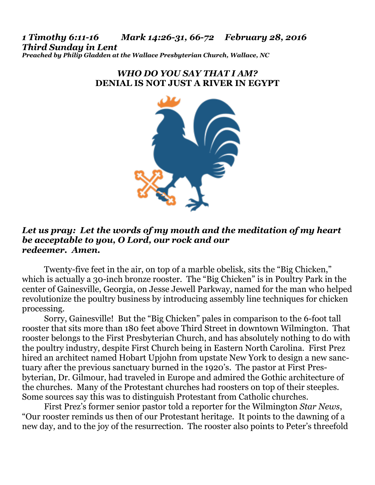*1 Timothy 6:11-16 Mark 14:26-31, 66-72 February 28, 2016 Third Sunday in Lent Preached by Philip Gladden at the Wallace Presbyterian Church, Wallace, NC* 

## *WHO DO YOU SAY THAT I AM?*  **DENIAL IS NOT JUST A RIVER IN EGYPT**



## *Let us pray: Let the words of my mouth and the meditation of my heart be acceptable to you, O Lord, our rock and our redeemer. Amen.*

Twenty-five feet in the air, on top of a marble obelisk, sits the "Big Chicken," which is actually a 30-inch bronze rooster. The "Big Chicken" is in Poultry Park in the center of Gainesville, Georgia, on Jesse Jewell Parkway, named for the man who helped revolutionize the poultry business by introducing assembly line techniques for chicken processing.

 Sorry, Gainesville! But the "Big Chicken" pales in comparison to the 6-foot tall rooster that sits more than 180 feet above Third Street in downtown Wilmington. That rooster belongs to the First Presbyterian Church, and has absolutely nothing to do with the poultry industry, despite First Church being in Eastern North Carolina. First Prez hired an architect named Hobart Upjohn from upstate New York to design a new sanctuary after the previous sanctuary burned in the 1920's. The pastor at First Presbyterian, Dr. Gilmour, had traveled in Europe and admired the Gothic architecture of the churches. Many of the Protestant churches had roosters on top of their steeples. Some sources say this was to distinguish Protestant from Catholic churches.

 First Prez's former senior pastor told a reporter for the Wilmington *Star News*, "Our rooster reminds us then of our Protestant heritage. It points to the dawning of a new day, and to the joy of the resurrection. The rooster also points to Peter's threefold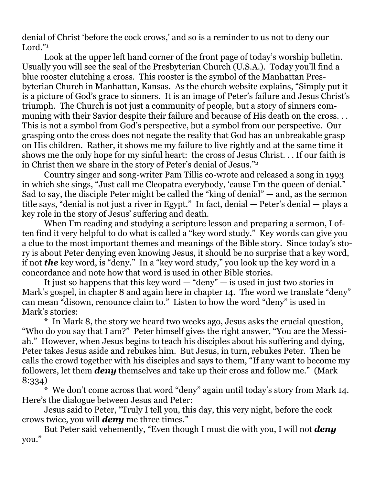denial of Christ 'before the cock crows,' and so is a reminder to us not to deny our Lord."<sup>1</sup>

 Look at the upper left hand corner of the front page of today's worship bulletin. Usually you will see the seal of the Presbyterian Church (U.S.A.). Today you'll find a blue rooster clutching a cross. This rooster is the symbol of the Manhattan Presbyterian Church in Manhattan, Kansas. As the church website explains, "Simply put it is a picture of God's grace to sinners. It is an image of Peter's failure and Jesus Christ's triumph. The Church is not just a community of people, but a story of sinners communing with their Savior despite their failure and because of His death on the cross... This is not a symbol from God's perspective, but a symbol from our perspective. Our grasping onto the cross does not negate the reality that God has an unbreakable grasp on His children. Rather, it shows me my failure to live rightly and at the same time it shows me the only hope for my sinful heart: the cross of Jesus Christ. . . If our faith is in Christ then we share in the story of Peter's denial of Jesus."2

 Country singer and song-writer Pam Tillis co-wrote and released a song in 1993 in which she sings, "Just call me Cleopatra everybody, 'cause I'm the queen of denial." Sad to say, the disciple Peter might be called the "king of denial" — and, as the sermon title says, "denial is not just a river in Egypt." In fact, denial — Peter's denial — plays a key role in the story of Jesus' suffering and death.

 When I'm reading and studying a scripture lesson and preparing a sermon, I often find it very helpful to do what is called a "key word study." Key words can give you a clue to the most important themes and meanings of the Bible story. Since today's story is about Peter denying even knowing Jesus, it should be no surprise that a key word, if not *the* key word, is "deny." In a "key word study," you look up the key word in a concordance and note how that word is used in other Bible stories.

 It just so happens that this key word — "deny" — is used in just two stories in Mark's gospel, in chapter 8 and again here in chapter 14. The word we translate "deny" can mean "disown, renounce claim to." Listen to how the word "deny" is used in Mark's stories:

 \* In Mark 8, the story we heard two weeks ago, Jesus asks the crucial question, "Who do you say that I am?" Peter himself gives the right answer, "You are the Messiah." However, when Jesus begins to teach his disciples about his suffering and dying, Peter takes Jesus aside and rebukes him. But Jesus, in turn, rebukes Peter. Then he calls the crowd together with his disciples and says to them, "If any want to become my followers, let them *deny* themselves and take up their cross and follow me." (Mark 8:334)

 \* We don't come across that word "deny" again until today's story from Mark 14. Here's the dialogue between Jesus and Peter:

 Jesus said to Peter, "Truly I tell you, this day, this very night, before the cock crows twice, you will *deny* me three times."

 But Peter said vehemently, "Even though I must die with you, I will not *deny* you."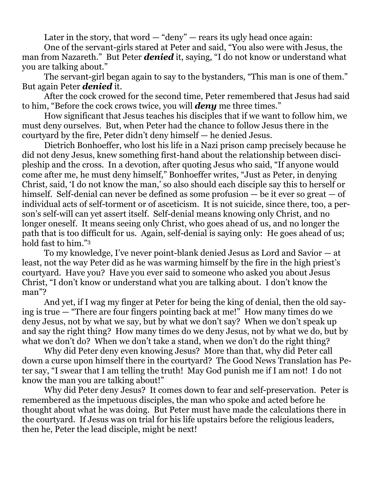Later in the story, that word  $-$  "deny"  $-$  rears its ugly head once again:

 One of the servant-girls stared at Peter and said, "You also were with Jesus, the man from Nazareth." But Peter *denied* it, saying, "I do not know or understand what you are talking about."

 The servant-girl began again to say to the bystanders, "This man is one of them." But again Peter *denied* it.

 After the cock crowed for the second time, Peter remembered that Jesus had said to him, "Before the cock crows twice, you will *deny* me three times."

 How significant that Jesus teaches his disciples that if we want to follow him, we must deny ourselves. But, when Peter had the chance to follow Jesus there in the courtyard by the fire, Peter didn't deny himself — he denied Jesus.

 Dietrich Bonhoeffer, who lost his life in a Nazi prison camp precisely because he did not deny Jesus, knew something first-hand about the relationship between discipleship and the cross. In a devotion, after quoting Jesus who said, "If anyone would come after me, he must deny himself," Bonhoeffer writes, "Just as Peter, in denying Christ, said, 'I do not know the man,' so also should each disciple say this to herself or himself. Self-denial can never be defined as some profusion — be it ever so great — of individual acts of self-torment or of asceticism. It is not suicide, since there, too, a person's self-will can yet assert itself. Self-denial means knowing only Christ, and no longer oneself. It means seeing only Christ, who goes ahead of us, and no longer the path that is too difficult for us. Again, self-denial is saying only: He goes ahead of us; hold fast to him."3

 To my knowledge, I've never point-blank denied Jesus as Lord and Savior — at least, not the way Peter did as he was warming himself by the fire in the high priest's courtyard. Have you? Have you ever said to someone who asked you about Jesus Christ, "I don't know or understand what you are talking about. I don't know the man"?

 And yet, if I wag my finger at Peter for being the king of denial, then the old saying is true — "There are four fingers pointing back at me!" How many times do we deny Jesus, not by what we say, but by what we don't say? When we don't speak up and say the right thing? How many times do we deny Jesus, not by what we do, but by what we don't do? When we don't take a stand, when we don't do the right thing?

 Why did Peter deny even knowing Jesus? More than that, why did Peter call down a curse upon himself there in the courtyard? The Good News Translation has Peter say, "I swear that I am telling the truth! May God punish me if I am not! I do not know the man you are talking about!"

 Why did Peter deny Jesus? It comes down to fear and self-preservation. Peter is remembered as the impetuous disciples, the man who spoke and acted before he thought about what he was doing. But Peter must have made the calculations there in the courtyard. If Jesus was on trial for his life upstairs before the religious leaders, then he, Peter the lead disciple, might be next!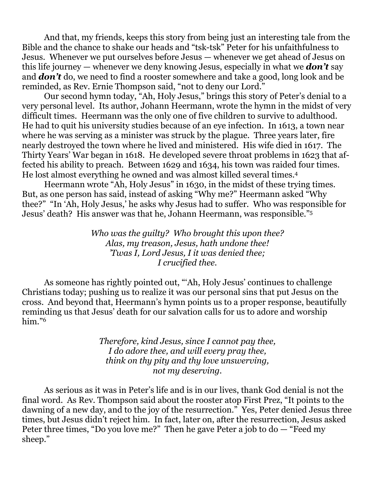And that, my friends, keeps this story from being just an interesting tale from the Bible and the chance to shake our heads and "tsk-tsk" Peter for his unfaithfulness to Jesus. Whenever we put ourselves before Jesus — whenever we get ahead of Jesus on this life journey — whenever we deny knowing Jesus, especially in what we *don't* say and *don't* do, we need to find a rooster somewhere and take a good, long look and be reminded, as Rev. Ernie Thompson said, "not to deny our Lord."

 Our second hymn today, "Ah, Holy Jesus," brings this story of Peter's denial to a very personal level. Its author, Johann Heermann, wrote the hymn in the midst of very difficult times. Heermann was the only one of five children to survive to adulthood. He had to quit his university studies because of an eye infection. In 1613, a town near where he was serving as a minister was struck by the plague. Three years later, fire nearly destroyed the town where he lived and ministered. His wife died in 1617. The Thirty Years' War began in 1618. He developed severe throat problems in 1623 that affected his ability to preach. Between 1629 and 1634, his town was raided four times. He lost almost everything he owned and was almost killed several times.4

 Heermann wrote "Ah, Holy Jesus" in 1630, in the midst of these trying times. But, as one person has said, instead of asking "Why me?" Heermann asked "Why thee?" "In 'Ah, Holy Jesus,' he asks why Jesus had to suffer. Who was responsible for Jesus' death? His answer was that he, Johann Heermann, was responsible."5

> *Who was the guilty? Who brought this upon thee? Alas, my treason, Jesus, hath undone thee! 'Twas I, Lord Jesus, I it was denied thee; I crucified thee.*

 As someone has rightly pointed out, "'Ah, Holy Jesus' continues to challenge Christians today; pushing us to realize it was our personal sins that put Jesus on the cross. And beyond that, Heermann's hymn points us to a proper response, beautifully reminding us that Jesus' death for our salvation calls for us to adore and worship him."6

> *Therefore, kind Jesus, since I cannot pay thee, I do adore thee, and will every pray thee, think on thy pity and thy love unswerving, not my deserving.*

 As serious as it was in Peter's life and is in our lives, thank God denial is not the final word. As Rev. Thompson said about the rooster atop First Prez, "It points to the dawning of a new day, and to the joy of the resurrection." Yes, Peter denied Jesus three times, but Jesus didn't reject him. In fact, later on, after the resurrection, Jesus asked Peter three times, "Do you love me?" Then he gave Peter a job to do — "Feed my sheep."